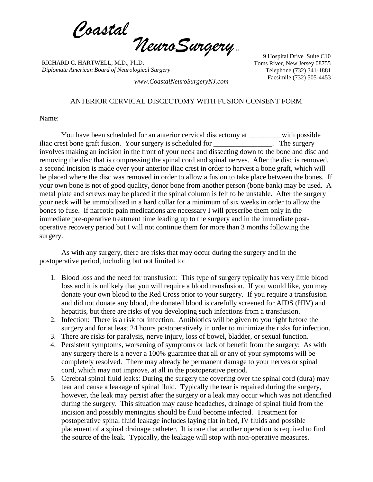*Coastal*  $\eta$ euroSurgery

RICHARD C. HARTWELL, M.D., Ph.D. *Diplomate American Board of Neurological Surgery*

9 Hospital Drive Suite C10 Toms River, New Jersey 08755 Telephone (732) 341-1881 Facsimile (732) 505-4453 *www.CoastalNeuroSurgeryNJ.com*

## ANTERIOR CERVICAL DISCECTOMY WITH FUSION CONSENT FORM

Name:

You have been scheduled for an anterior cervical discectomy at with possible iliac crest bone graft fusion. Your surgery is scheduled for \_\_\_\_\_\_\_\_\_\_\_\_\_\_\_. The surgery involves making an incision in the front of your neck and dissecting down to the bone and disc and removing the disc that is compressing the spinal cord and spinal nerves. After the disc is removed, a second incision is made over your anterior iliac crest in order to harvest a bone graft, which will be placed where the disc was removed in order to allow a fusion to take place between the bones. If your own bone is not of good quality, donor bone from another person (bone bank) may be used. A metal plate and screws may be placed if the spinal column is felt to be unstable. After the surgery your neck will be immobilized in a hard collar for a minimum of six weeks in order to allow the bones to fuse. If narcotic pain medications are necessary I will prescribe them only in the immediate pre-operative treatment time leading up to the surgery and in the immediate postoperative recovery period but I will not continue them for more than 3 months following the surgery.

As with any surgery, there are risks that may occur during the surgery and in the postoperative period, including but not limited to:

- 1. Blood loss and the need for transfusion: This type of surgery typically has very little blood loss and it is unlikely that you will require a blood transfusion. If you would like, you may donate your own blood to the Red Cross prior to your surgery. If you require a transfusion and did not donate any blood, the donated blood is carefully screened for AIDS (HIV) and hepatitis, but there are risks of you developing such infections from a transfusion.
- 2. Infection: There is a risk for infection. Antibiotics will be given to you right before the surgery and for at least 24 hours postoperatively in order to minimize the risks for infection.
- 3. There are risks for paralysis, nerve injury, loss of bowel, bladder, or sexual function.
- 4. Persistent symptoms, worsening of symptoms or lack of benefit from the surgery: As with any surgery there is a never a 100% guarantee that all or any of your symptoms will be completely resolved. There may already be permanent damage to your nerves or spinal cord, which may not improve, at all in the postoperative period.
- 5. Cerebral spinal fluid leaks: During the surgery the covering over the spinal cord (dura) may tear and cause a leakage of spinal fluid. Typically the tear is repaired during the surgery, however, the leak may persist after the surgery or a leak may occur which was not identified during the surgery. This situation may cause headaches, drainage of spinal fluid from the incision and possibly meningitis should be fluid become infected. Treatment for postoperative spinal fluid leakage includes laying flat in bed, IV fluids and possible placement of a spinal drainage catheter. It is rare that another operation is required to find the source of the leak. Typically, the leakage will stop with non-operative measures.